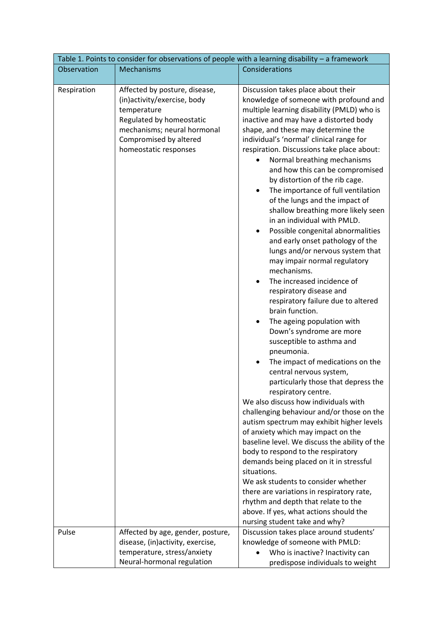| Table 1. Points to consider for observations of people with a learning disability - a framework |                                                                                                                                                                                           |                                                                                                                                                                                                                                                                                                                                                                                                                                                                                                                                                                                                                                                                                                                                                                                                                                                                                                                                                                                                                                                                                                                                                                                                                                                                                                                                                                                                                                                                                                                                                                                                                   |  |
|-------------------------------------------------------------------------------------------------|-------------------------------------------------------------------------------------------------------------------------------------------------------------------------------------------|-------------------------------------------------------------------------------------------------------------------------------------------------------------------------------------------------------------------------------------------------------------------------------------------------------------------------------------------------------------------------------------------------------------------------------------------------------------------------------------------------------------------------------------------------------------------------------------------------------------------------------------------------------------------------------------------------------------------------------------------------------------------------------------------------------------------------------------------------------------------------------------------------------------------------------------------------------------------------------------------------------------------------------------------------------------------------------------------------------------------------------------------------------------------------------------------------------------------------------------------------------------------------------------------------------------------------------------------------------------------------------------------------------------------------------------------------------------------------------------------------------------------------------------------------------------------------------------------------------------------|--|
| Observation                                                                                     | Mechanisms                                                                                                                                                                                | Considerations                                                                                                                                                                                                                                                                                                                                                                                                                                                                                                                                                                                                                                                                                                                                                                                                                                                                                                                                                                                                                                                                                                                                                                                                                                                                                                                                                                                                                                                                                                                                                                                                    |  |
| Respiration                                                                                     | Affected by posture, disease,<br>(in)activity/exercise, body<br>temperature<br>Regulated by homeostatic<br>mechanisms; neural hormonal<br>Compromised by altered<br>homeostatic responses | Discussion takes place about their<br>knowledge of someone with profound and<br>multiple learning disability (PMLD) who is<br>inactive and may have a distorted body<br>shape, and these may determine the<br>individual's 'normal' clinical range for<br>respiration. Discussions take place about:<br>Normal breathing mechanisms<br>and how this can be compromised<br>by distortion of the rib cage.<br>The importance of full ventilation<br>of the lungs and the impact of<br>shallow breathing more likely seen<br>in an individual with PMLD.<br>Possible congenital abnormalities<br>and early onset pathology of the<br>lungs and/or nervous system that<br>may impair normal regulatory<br>mechanisms.<br>The increased incidence of<br>$\bullet$<br>respiratory disease and<br>respiratory failure due to altered<br>brain function.<br>The ageing population with<br>Down's syndrome are more<br>susceptible to asthma and<br>pneumonia.<br>The impact of medications on the<br>central nervous system,<br>particularly those that depress the<br>respiratory centre.<br>We also discuss how individuals with<br>challenging behaviour and/or those on the<br>autism spectrum may exhibit higher levels<br>of anxiety which may impact on the<br>baseline level. We discuss the ability of the<br>body to respond to the respiratory<br>demands being placed on it in stressful<br>situations.<br>We ask students to consider whether<br>there are variations in respiratory rate,<br>rhythm and depth that relate to the<br>above. If yes, what actions should the<br>nursing student take and why? |  |
| Pulse                                                                                           | Affected by age, gender, posture,<br>disease, (in) activity, exercise,<br>temperature, stress/anxiety                                                                                     | Discussion takes place around students'<br>knowledge of someone with PMLD:<br>Who is inactive? Inactivity can                                                                                                                                                                                                                                                                                                                                                                                                                                                                                                                                                                                                                                                                                                                                                                                                                                                                                                                                                                                                                                                                                                                                                                                                                                                                                                                                                                                                                                                                                                     |  |
|                                                                                                 | Neural-hormonal regulation                                                                                                                                                                | predispose individuals to weight                                                                                                                                                                                                                                                                                                                                                                                                                                                                                                                                                                                                                                                                                                                                                                                                                                                                                                                                                                                                                                                                                                                                                                                                                                                                                                                                                                                                                                                                                                                                                                                  |  |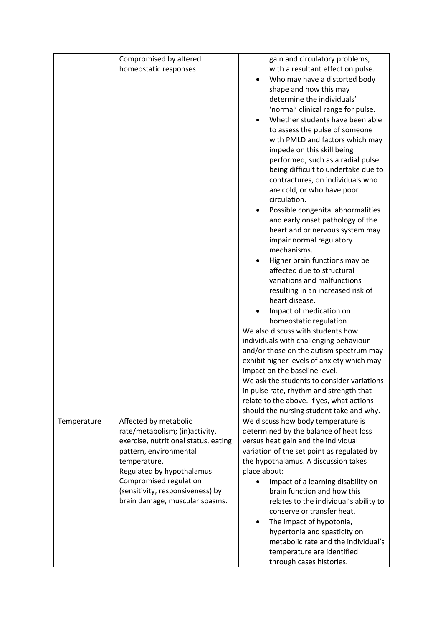|             | Compromised by altered               | gain and circulatory problems,                 |
|-------------|--------------------------------------|------------------------------------------------|
|             | homeostatic responses                | with a resultant effect on pulse.              |
|             |                                      | Who may have a distorted body                  |
|             |                                      | shape and how this may                         |
|             |                                      | determine the individuals'                     |
|             |                                      | 'normal' clinical range for pulse.             |
|             |                                      | Whether students have been able                |
|             |                                      | to assess the pulse of someone                 |
|             |                                      | with PMLD and factors which may                |
|             |                                      | impede on this skill being                     |
|             |                                      | performed, such as a radial pulse              |
|             |                                      | being difficult to undertake due to            |
|             |                                      | contractures, on individuals who               |
|             |                                      | are cold, or who have poor                     |
|             |                                      | circulation.                                   |
|             |                                      | Possible congenital abnormalities<br>$\bullet$ |
|             |                                      | and early onset pathology of the               |
|             |                                      | heart and or nervous system may                |
|             |                                      | impair normal regulatory                       |
|             |                                      | mechanisms.                                    |
|             |                                      | Higher brain functions may be                  |
|             |                                      | affected due to structural                     |
|             |                                      | variations and malfunctions                    |
|             |                                      | resulting in an increased risk of              |
|             |                                      | heart disease.                                 |
|             |                                      | Impact of medication on                        |
|             |                                      | homeostatic regulation                         |
|             |                                      | We also discuss with students how              |
|             |                                      | individuals with challenging behaviour         |
|             |                                      | and/or those on the autism spectrum may        |
|             |                                      | exhibit higher levels of anxiety which may     |
|             |                                      | impact on the baseline level.                  |
|             |                                      | We ask the students to consider variations     |
|             |                                      | in pulse rate, rhythm and strength that        |
|             |                                      | relate to the above. If yes, what actions      |
|             |                                      | should the nursing student take and why.       |
| Temperature | Affected by metabolic                | We discuss how body temperature is             |
|             | rate/metabolism; (in)activity,       | determined by the balance of heat loss         |
|             | exercise, nutritional status, eating | versus heat gain and the individual            |
|             | pattern, environmental               | variation of the set point as regulated by     |
|             | temperature.                         | the hypothalamus. A discussion takes           |
|             | Regulated by hypothalamus            | place about:                                   |
|             | Compromised regulation               | Impact of a learning disability on             |
|             | (sensitivity, responsiveness) by     | brain function and how this                    |
|             | brain damage, muscular spasms.       | relates to the individual's ability to         |
|             |                                      | conserve or transfer heat.                     |
|             |                                      | The impact of hypotonia,<br>$\bullet$          |
|             |                                      | hypertonia and spasticity on                   |
|             |                                      | metabolic rate and the individual's            |
|             |                                      | temperature are identified                     |
|             |                                      | through cases histories.                       |